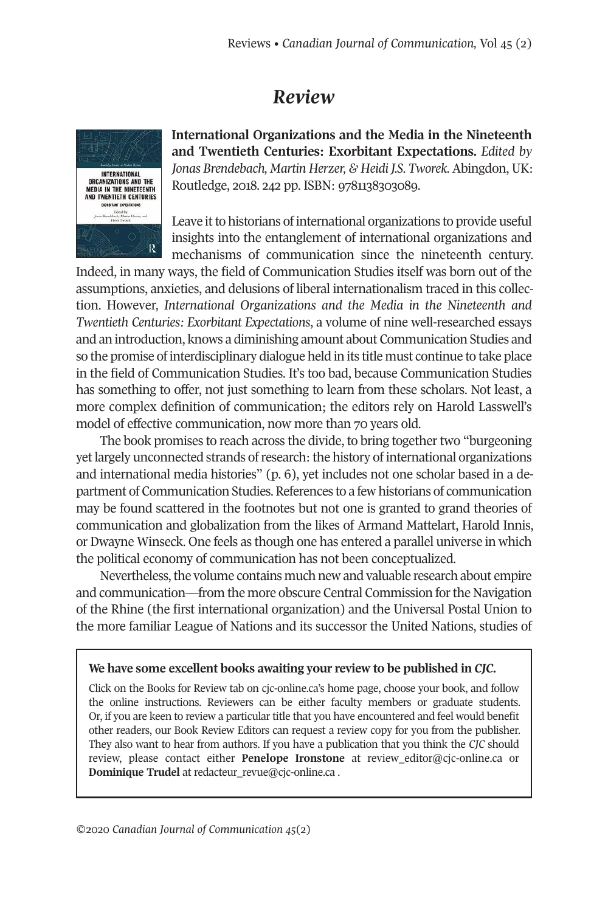## *Review*



**International Organizations and the Media in the Nineteenth and Twentieth Centuries: Exorbitant Expectations.** *Edited by Jonas Brendebach, Martin Herzer, & Heidi J.S. Tworek.* Abingdon, UK: Routledge, 2018. 242 pp. ISBN: 9781138303089.

Leave it to historians of international organizations to provide useful insights into the entanglement of international organizations and mechanisms of communication since the nineteenth century.

Indeed, in many ways, the field of Communication Studies itself was born out of the assumptions, anxieties, and delusions of liberal internationalism traced in this collection. However*, International Organizations and the Media in the Nineteenth and Twentieth Centuries: Exorbitant Expectations*, a volume of nine well-researched essays and an introduction, knows a diminishing amount about Communication Studies and so the promise of interdisciplinary dialogue held in its title must continue to take place in the field of Communication Studies. It's too bad, because Communication Studies has something to offer, not just something to learn from these scholars. Not least, a more complex definition of communication; the editors rely on Harold Lasswell's model of effective communication, now more than 70 years old.

The book promises to reach across the divide, to bring together two "burgeoning" yet largely unconnected strands of research: the history of international organizations and international media histories" (p. 6), yet includes not one scholar based in a department of Communication Studies.References to a few historians of communication may be found scattered in the footnotes but not one is granted to grand theories of communication and globalization from the likes of Armand Mattelart, Harold Innis, or Dwayne Winseck. One feels as though one has entered a parallel universe in which the political economy of communication has not been conceptualized.

Nevertheless, the volume contains much new and valuable research about empire and communication—from the more obscure Central Commission forthe Navigation of the Rhine (the first international organization) and the Universal Postal Union to the more familiar League of Nations and its successor the United Nations, studies of

## **We have some excellent books awaiting your review to be published in** *CJC.*

Click on the Books for Review tab on cjc-online.ca's home page, choose your book, and follow the online instructions. Reviewers can be either faculty members or graduate students. Or, if you are keen to review a particular title that you have encountered and feel would benefit other readers, our Book Review Editors can request a review copy for you from the publisher. They also want to hear from authors. If you have a publication that you think the *CJC* should review, please contact either **Penelope Ironstone** at [review\\_editor@cjc-online.ca](mailto:review_editor@cjc-online.ca) or **Dominique Trudel** at [redacteur\\_revue@cjc-online.ca](mailto:redacteur_revue@cjc-online.ca) .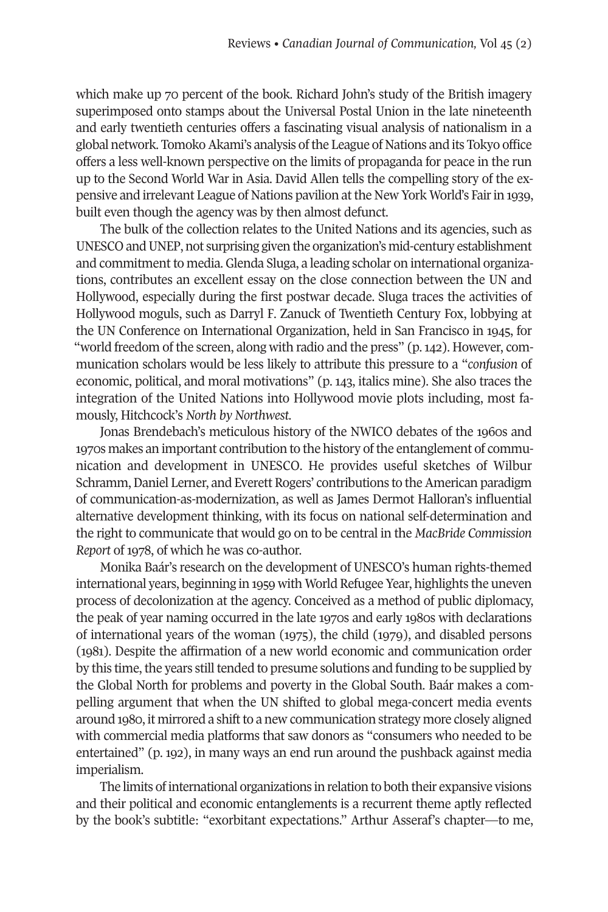which make up 70 percent of the book. Richard John's study of the British imagery superimposed onto stamps about the Universal Postal Union in the late nineteenth and early twentieth centuries offers a fascinating visual analysis of nationalism in a global network. Tomoko Akami's analysis of the League of Nations and its Tokyo office offers a less well-known perspective on the limits of propaganda for peace in the run up to the Second World War in Asia. David Allen tells the compelling story of the expensive and irrelevant League of Nations pavilion atthe New York World's Fairin 1939, built even though the agency was by then almost defunct.

The bulk of the collection relates to the United Nations and its agencies, such as UNESCO andUNEP, not surprising given the organization's mid-century establishment and commitment to media. Glenda Sluga, a leading scholar on international organizations, contributes an excellent essay on the close connection between the UN and Hollywood, especially during the first postwar decade. Sluga traces the activities of Hollywood moguls, such as Darryl F. Zanuck of Twentieth Century Fox, lobbying at the UN Conference on International Organization, held in San Francisco in 1945, for "world freedom of the screen, along with radio and the press" (p.142). However, communication scholars would be less likely to attribute this pressure to a "*confusion* of economic, political, and moral motivations" (p. 143, italics mine). She also traces the integration of the United Nations into Hollywood movie plots including, most famously, Hitchcock's *North by Northwest*.

Jonas Brendebach's meticulous history of the NWICO debates of the 1960s and 1970s makes an important contribution to the history of the entanglement of communication and development in UNESCO. He provides useful sketches of Wilbur Schramm, Daniel Lerner, and Everett Rogers' contributions to the American paradigm of communication-as-modernization, as well as James Dermot Halloran's influential alternative development thinking, with its focus on national self-determination and the right to communicate that would go on to be central in the *MacBride Commission Report* of 1978, of which he was co-author.

Monika Baár's research on the development of UNESCO's human rights-themed international years, beginning in 1959 with World Refugee Year, highlights the uneven process of decolonization at the agency. Conceived as a method of public diplomacy, the peak of year naming occurred in the late 1970s and early 1980s with declarations of international years of the woman (1975), the child (1979), and disabled persons (1981). Despite the affirmation of a new world economic and communication order by this time, the years still tended to presume solutions and funding to be supplied by the Global North for problems and poverty in the Global South. Baár makes a compelling argument that when the UN shifted to global mega-concert media events around 1980, it mirrored a shiftto a new communication strategy more closely aligned with commercial media platforms that saw donors as "consumers who needed to be entertained" (p. 192), in many ways an end run around the pushback against media imperialism.

The limits of international organizations in relation to both their expansive visions and their political and economic entanglements is a recurrent theme aptly reflected by the book's subtitle: "exorbitant expectations." Arthur Asseraf's chapter—to me,